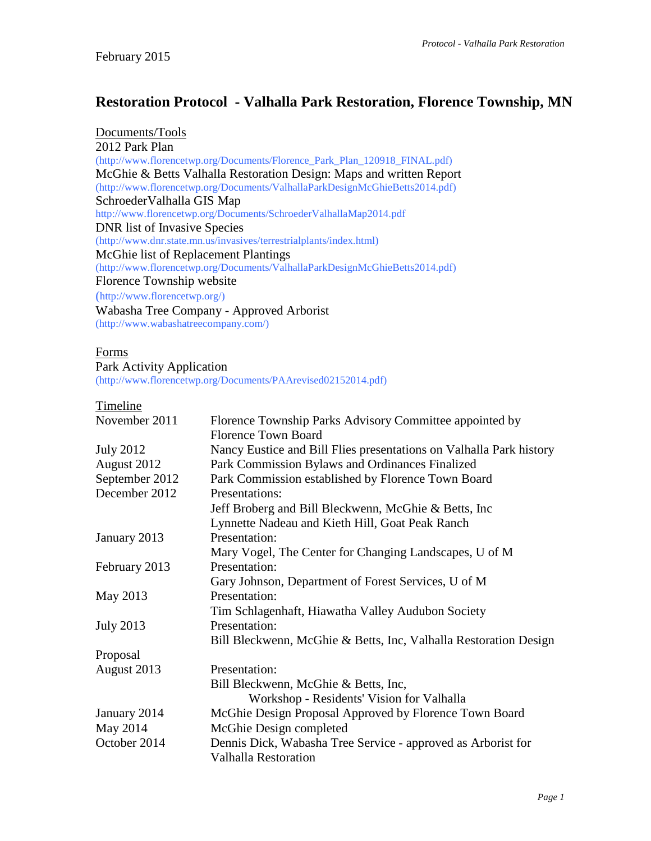## **Restoration Protocol - Valhalla Park Restoration, Florence Township, MN**

Documents/Tools 2012 Park Plan (http://www.florencetwp.org/Documents/Florence\_Park\_Plan\_120918\_FINAL.pdf) McGhie & Betts Valhalla Restoration Design: Maps and written Report (http://www.florencetwp.org/Documents/ValhallaParkDesignMcGhieBetts2014.pdf) SchroederValhalla GIS Map http://www.florencetwp.org/Documents/SchroederValhallaMap2014.pdf DNR list of Invasive Species (http://www.dnr.state.mn.us/invasives/terrestrialplants/index.html) McGhie list of Replacement Plantings (http://www.florencetwp.org/Documents/ValhallaParkDesignMcGhieBetts2014.pdf) Florence Township website (http://www.florencetwp.org/) Wabasha Tree Company - Approved Arborist (http://www.wabashatreecompany.com/)

## Forms

#### Park Activity Application

(http://www.florencetwp.org/Documents/PAArevised02152014.pdf)

#### Timeline

| November 2011    | Florence Township Parks Advisory Committee appointed by             |
|------------------|---------------------------------------------------------------------|
|                  | <b>Florence Town Board</b>                                          |
| <b>July 2012</b> | Nancy Eustice and Bill Flies presentations on Valhalla Park history |
| August 2012      | Park Commission Bylaws and Ordinances Finalized                     |
| September 2012   | Park Commission established by Florence Town Board                  |
| December 2012    | Presentations:                                                      |
|                  | Jeff Broberg and Bill Bleckwenn, McGhie & Betts, Inc                |
|                  | Lynnette Nadeau and Kieth Hill, Goat Peak Ranch                     |
| January 2013     | Presentation:                                                       |
|                  | Mary Vogel, The Center for Changing Landscapes, U of M              |
| February 2013    | Presentation:                                                       |
|                  | Gary Johnson, Department of Forest Services, U of M                 |
| May 2013         | Presentation:                                                       |
|                  | Tim Schlagenhaft, Hiawatha Valley Audubon Society                   |
| <b>July 2013</b> | Presentation:                                                       |
|                  | Bill Bleckwenn, McGhie & Betts, Inc, Valhalla Restoration Design    |
| Proposal         |                                                                     |
| August 2013      | Presentation:                                                       |
|                  | Bill Bleckwenn, McGhie & Betts, Inc,                                |
|                  | Workshop - Residents' Vision for Valhalla                           |
| January 2014     | McGhie Design Proposal Approved by Florence Town Board              |
| May 2014         | McGhie Design completed                                             |
| October 2014     | Dennis Dick, Wabasha Tree Service - approved as Arborist for        |
|                  | <b>Valhalla Restoration</b>                                         |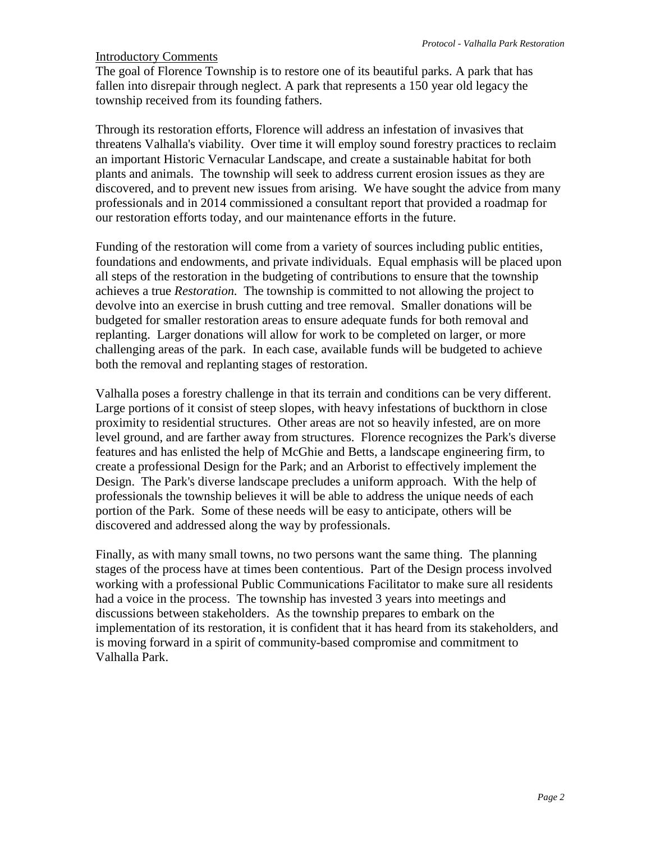### Introductory Comments

The goal of Florence Township is to restore one of its beautiful parks. A park that has fallen into disrepair through neglect. A park that represents a 150 year old legacy the township received from its founding fathers.

Through its restoration efforts, Florence will address an infestation of invasives that threatens Valhalla's viability. Over time it will employ sound forestry practices to reclaim an important Historic Vernacular Landscape, and create a sustainable habitat for both plants and animals. The township will seek to address current erosion issues as they are discovered, and to prevent new issues from arising. We have sought the advice from many professionals and in 2014 commissioned a consultant report that provided a roadmap for our restoration efforts today, and our maintenance efforts in the future.

Funding of the restoration will come from a variety of sources including public entities, foundations and endowments, and private individuals. Equal emphasis will be placed upon all steps of the restoration in the budgeting of contributions to ensure that the township achieves a true *Restoration.* The township is committed to not allowing the project to devolve into an exercise in brush cutting and tree removal. Smaller donations will be budgeted for smaller restoration areas to ensure adequate funds for both removal and replanting. Larger donations will allow for work to be completed on larger, or more challenging areas of the park. In each case, available funds will be budgeted to achieve both the removal and replanting stages of restoration.

Valhalla poses a forestry challenge in that its terrain and conditions can be very different. Large portions of it consist of steep slopes, with heavy infestations of buckthorn in close proximity to residential structures. Other areas are not so heavily infested, are on more level ground, and are farther away from structures. Florence recognizes the Park's diverse features and has enlisted the help of McGhie and Betts, a landscape engineering firm, to create a professional Design for the Park; and an Arborist to effectively implement the Design. The Park's diverse landscape precludes a uniform approach. With the help of professionals the township believes it will be able to address the unique needs of each portion of the Park. Some of these needs will be easy to anticipate, others will be discovered and addressed along the way by professionals.

Finally, as with many small towns, no two persons want the same thing. The planning stages of the process have at times been contentious. Part of the Design process involved working with a professional Public Communications Facilitator to make sure all residents had a voice in the process. The township has invested 3 years into meetings and discussions between stakeholders. As the township prepares to embark on the implementation of its restoration, it is confident that it has heard from its stakeholders, and is moving forward in a spirit of community-based compromise and commitment to Valhalla Park.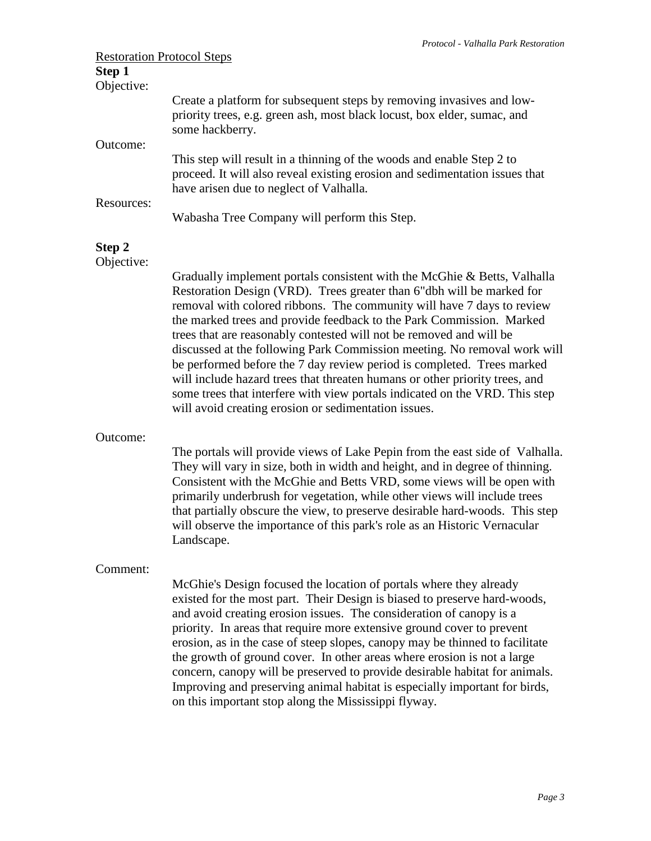|                                   | Protocol - Valhalla Park Restoration                                                                                                                                                                                                                                                                                                                                                                                                                                                                                                                                                                                                                                                                                                                   |
|-----------------------------------|--------------------------------------------------------------------------------------------------------------------------------------------------------------------------------------------------------------------------------------------------------------------------------------------------------------------------------------------------------------------------------------------------------------------------------------------------------------------------------------------------------------------------------------------------------------------------------------------------------------------------------------------------------------------------------------------------------------------------------------------------------|
| <b>Restoration Protocol Steps</b> |                                                                                                                                                                                                                                                                                                                                                                                                                                                                                                                                                                                                                                                                                                                                                        |
| Step 1<br>Objective:              |                                                                                                                                                                                                                                                                                                                                                                                                                                                                                                                                                                                                                                                                                                                                                        |
| Outcome:                          | Create a platform for subsequent steps by removing invasives and low-<br>priority trees, e.g. green ash, most black locust, box elder, sumac, and<br>some hackberry.                                                                                                                                                                                                                                                                                                                                                                                                                                                                                                                                                                                   |
|                                   | This step will result in a thinning of the woods and enable Step 2 to<br>proceed. It will also reveal existing erosion and sedimentation issues that<br>have arisen due to neglect of Valhalla.                                                                                                                                                                                                                                                                                                                                                                                                                                                                                                                                                        |
| Resources:                        | Wabasha Tree Company will perform this Step.                                                                                                                                                                                                                                                                                                                                                                                                                                                                                                                                                                                                                                                                                                           |
| Step 2<br>Objective:              |                                                                                                                                                                                                                                                                                                                                                                                                                                                                                                                                                                                                                                                                                                                                                        |
|                                   | Gradually implement portals consistent with the McGhie & Betts, Valhalla<br>Restoration Design (VRD). Trees greater than 6"dbh will be marked for<br>removal with colored ribbons. The community will have 7 days to review<br>the marked trees and provide feedback to the Park Commission. Marked<br>trees that are reasonably contested will not be removed and will be<br>discussed at the following Park Commission meeting. No removal work will<br>be performed before the 7 day review period is completed. Trees marked<br>will include hazard trees that threaten humans or other priority trees, and<br>some trees that interfere with view portals indicated on the VRD. This step<br>will avoid creating erosion or sedimentation issues. |
| Outcome:                          | The portals will provide views of Lake Pepin from the east side of Valhalla.<br>They will vary in size, both in width and height, and in degree of thinning.<br>Consistent with the McGhie and Betts VRD, some views will be open with<br>primarily underbrush for vegetation, while other views will include trees<br>that partially obscure the view, to preserve desirable hard-woods. This step<br>will observe the importance of this park's role as an Historic Vernacular<br>Landscape.                                                                                                                                                                                                                                                         |
| Comment:                          | McGhie's Design focused the location of portals where they already<br>existed for the most part. Their Design is biased to preserve hard-woods,<br>and avoid creating erosion issues. The consideration of canopy is a<br>priority. In areas that require more extensive ground cover to prevent                                                                                                                                                                                                                                                                                                                                                                                                                                                       |

erosion, as in the case of steep slopes, canopy may be thinned to facilitate the growth of ground cover. In other areas where erosion is not a large concern, canopy will be preserved to provide desirable habitat for animals. Improving and preserving animal habitat is especially important for birds, on this important stop along the Mississippi flyway.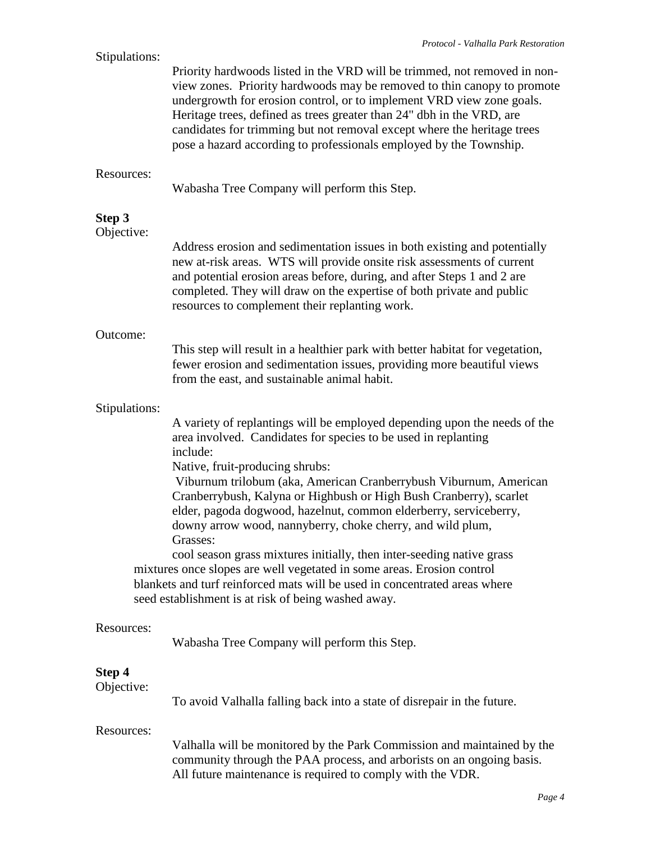| Stipulations:                                                                                                                                                                                                                                                                                                                                                                                                                                                                                                                                                                                                                                                                                                                                                                                 | Priority hardwoods listed in the VRD will be trimmed, not removed in non-<br>view zones. Priority hardwoods may be removed to thin canopy to promote<br>undergrowth for erosion control, or to implement VRD view zone goals.<br>Heritage trees, defined as trees greater than 24" dbh in the VRD, are<br>candidates for trimming but not removal except where the heritage trees<br>pose a hazard according to professionals employed by the Township. |
|-----------------------------------------------------------------------------------------------------------------------------------------------------------------------------------------------------------------------------------------------------------------------------------------------------------------------------------------------------------------------------------------------------------------------------------------------------------------------------------------------------------------------------------------------------------------------------------------------------------------------------------------------------------------------------------------------------------------------------------------------------------------------------------------------|---------------------------------------------------------------------------------------------------------------------------------------------------------------------------------------------------------------------------------------------------------------------------------------------------------------------------------------------------------------------------------------------------------------------------------------------------------|
| Resources:                                                                                                                                                                                                                                                                                                                                                                                                                                                                                                                                                                                                                                                                                                                                                                                    | Wabasha Tree Company will perform this Step.                                                                                                                                                                                                                                                                                                                                                                                                            |
| Step 3<br>Objective:                                                                                                                                                                                                                                                                                                                                                                                                                                                                                                                                                                                                                                                                                                                                                                          | Address erosion and sedimentation issues in both existing and potentially<br>new at-risk areas. WTS will provide onsite risk assessments of current<br>and potential erosion areas before, during, and after Steps 1 and 2 are<br>completed. They will draw on the expertise of both private and public<br>resources to complement their replanting work.                                                                                               |
| Outcome:                                                                                                                                                                                                                                                                                                                                                                                                                                                                                                                                                                                                                                                                                                                                                                                      | This step will result in a healthier park with better habitat for vegetation,<br>fewer erosion and sedimentation issues, providing more beautiful views<br>from the east, and sustainable animal habit.                                                                                                                                                                                                                                                 |
| Stipulations:<br>A variety of replantings will be employed depending upon the needs of the<br>area involved. Candidates for species to be used in replanting<br>include:<br>Native, fruit-producing shrubs:<br>Viburnum trilobum (aka, American Cranberrybush Viburnum, American<br>Cranberrybush, Kalyna or Highbush or High Bush Cranberry), scarlet<br>elder, pagoda dogwood, hazelnut, common elderberry, serviceberry,<br>downy arrow wood, nannyberry, choke cherry, and wild plum,<br>Grasses:<br>cool season grass mixtures initially, then inter-seeding native grass<br>mixtures once slopes are well vegetated in some areas. Erosion control<br>blankets and turf reinforced mats will be used in concentrated areas where<br>seed establishment is at risk of being washed away. |                                                                                                                                                                                                                                                                                                                                                                                                                                                         |
| Resources:                                                                                                                                                                                                                                                                                                                                                                                                                                                                                                                                                                                                                                                                                                                                                                                    | Wabasha Tree Company will perform this Step.                                                                                                                                                                                                                                                                                                                                                                                                            |
| Step 4<br>Objective:                                                                                                                                                                                                                                                                                                                                                                                                                                                                                                                                                                                                                                                                                                                                                                          | To avoid Valhalla falling back into a state of disrepair in the future.                                                                                                                                                                                                                                                                                                                                                                                 |
| Resources:                                                                                                                                                                                                                                                                                                                                                                                                                                                                                                                                                                                                                                                                                                                                                                                    | Valhalla will be monitored by the Park Commission and maintained by the<br>community through the PAA process, and arborists on an ongoing basis.<br>All future maintenance is required to comply with the VDR.                                                                                                                                                                                                                                          |